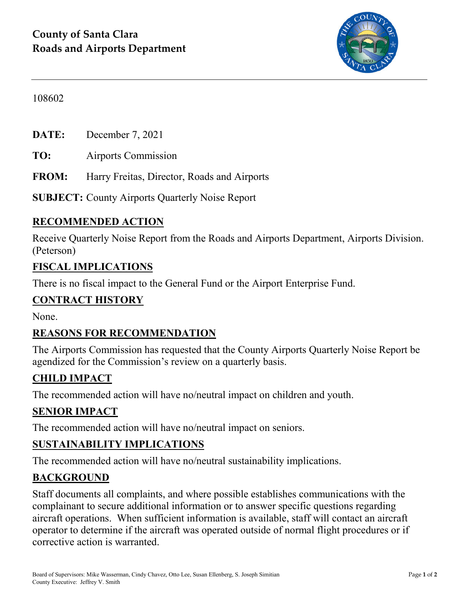

#### 108602

**DATE:** December 7, 2021

**TO:** Airports Commission

**FROM:** Harry Freitas, Director, Roads and Airports

**SUBJECT:** County Airports Quarterly Noise Report

#### **RECOMMENDED ACTION**

Receive Quarterly Noise Report from the Roads and Airports Department, Airports Division. (Peterson)

#### **FISCAL IMPLICATIONS**

There is no fiscal impact to the General Fund or the Airport Enterprise Fund.

#### **CONTRACT HISTORY**

None.

#### **REASONS FOR RECOMMENDATION**

The Airports Commission has requested that the County Airports Quarterly Noise Report be agendized for the Commission's review on a quarterly basis.

### **CHILD IMPACT**

The recommended action will have no/neutral impact on children and youth.

#### **SENIOR IMPACT**

The recommended action will have no/neutral impact on seniors.

#### **SUSTAINABILITY IMPLICATIONS**

The recommended action will have no/neutral sustainability implications.

#### **BACKGROUND**

Staff documents all complaints, and where possible establishes communications with the complainant to secure additional information or to answer specific questions regarding aircraft operations. When sufficient information is available, staff will contact an aircraft operator to determine if the aircraft was operated outside of normal flight procedures or if corrective action is warranted.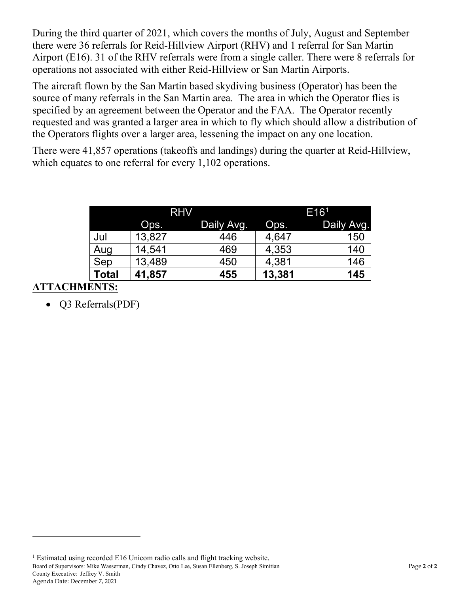During the third quarter of 2021, which covers the months of July, August and September there were 36 referrals for Reid-Hillview Airport (RHV) and 1 referral for San Martin Airport (E16). 31 of the RHV referrals were from a single caller. There were 8 referrals for operations not associated with either Reid-Hillview or San Martin Airports.

The aircraft flown by the San Martin based skydiving business (Operator) has been the source of many referrals in the San Martin area. The area in which the Operator flies is specified by an agreement between the Operator and the FAA. The Operator recently requested and was granted a larger area in which to fly which should allow a distribution of the Operators flights over a larger area, lessening the impact on any one location.

There were 41,857 operations (takeoffs and landings) during the quarter at Reid-Hillview, which equates to one referral for every 1,102 operations.

|              | <b>RHV</b> |             | E16 <sup>1</sup> |            |
|--------------|------------|-------------|------------------|------------|
|              | Ops.       | 'Daily Avg. | Ops.             | Daily Avg. |
| Jul          | 13,827     | 446         | 4,647            | 150        |
| Aug          | 14,541     | 469         | 4,353            | 140        |
| Sep          | 13,489     | 450         | 4,381            | 146        |
| <b>Total</b> | 41,857     | 455         | 13,381           | 145        |

### **ATTACHMENTS:**

 $\overline{a}$ 

• Q3 Referrals(PDF)

<span id="page-1-0"></span>Board of Supervisors: Mike Wasserman, Cindy Chavez, Otto Lee, Susan Ellenberg, S. Joseph Simitian Page **2** of **2** County Executive: Jeffrey V. Smith Agenda Date: December 7, 2021 <sup>1</sup> Estimated using recorded E16 Unicom radio calls and flight tracking website.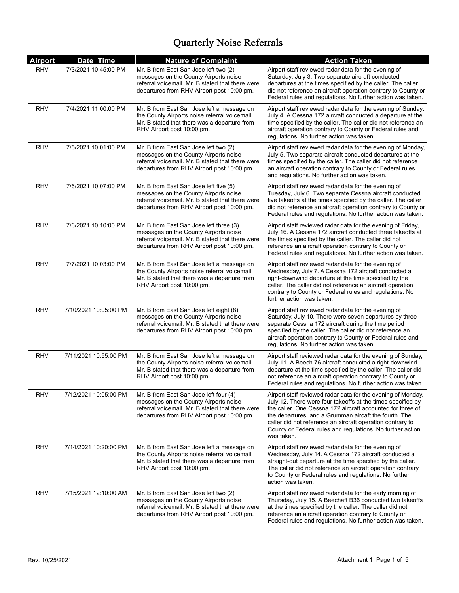| <b>Airport</b> | Date Time             | <b>Nature of Complaint</b>                                                                                                                                                         | <b>Action Taken</b>                                                                                                                                                                                                                                                                                                                                                                          |
|----------------|-----------------------|------------------------------------------------------------------------------------------------------------------------------------------------------------------------------------|----------------------------------------------------------------------------------------------------------------------------------------------------------------------------------------------------------------------------------------------------------------------------------------------------------------------------------------------------------------------------------------------|
| <b>RHV</b>     | 7/3/2021 10:45:00 PM  | Mr. B from East San Jose left two (2)<br>messages on the County Airports noise<br>referral voicemail. Mr. B stated that there were<br>departures from RHV Airport post 10:00 pm.   | Airport staff reviewed radar data for the evening of<br>Saturday, July 3. Two separate aircraft conducted<br>departures at the times specified by the caller. The caller<br>did not reference an aircraft operation contrary to County or<br>Federal rules and regulations. No further action was taken.                                                                                     |
| RHV            | 7/4/2021 11:00:00 PM  | Mr. B from East San Jose left a message on<br>the County Airports noise referral voicemail.<br>Mr. B stated that there was a departure from<br>RHV Airport post 10:00 pm.          | Airport staff reviewed radar data for the evening of Sunday,<br>July 4. A Cessna 172 aircraft conducted a departure at the<br>time specified by the caller. The caller did not reference an<br>aircraft operation contrary to County or Federal rules and<br>regulations. No further action was taken.                                                                                       |
| RHV            | 7/5/2021 10:01:00 PM  | Mr. B from East San Jose left two (2)<br>messages on the County Airports noise<br>referral voicemail. Mr. B stated that there were<br>departures from RHV Airport post 10:00 pm.   | Airport staff reviewed radar data for the evening of Monday,<br>July 5. Two separate aircraft conducted departures at the<br>times specified by the caller. The caller did not reference<br>an aircraft operation contrary to County or Federal rules<br>and regulations. No further action was taken.                                                                                       |
| RHV            | 7/6/2021 10:07:00 PM  | Mr. B from East San Jose left five (5)<br>messages on the County Airports noise<br>referral voicemail. Mr. B stated that there were<br>departures from RHV Airport post 10:00 pm.  | Airport staff reviewed radar data for the evening of<br>Tuesday, July 6. Two separate Cessna aircraft conducted<br>five takeoffs at the times specified by the caller. The caller<br>did not reference an aircraft operation contrary to County or<br>Federal rules and regulations. No further action was taken.                                                                            |
| RHV            | 7/6/2021 10:10:00 PM  | Mr. B from East San Jose left three (3)<br>messages on the County Airports noise<br>referral voicemail. Mr. B stated that there were<br>departures from RHV Airport post 10:00 pm. | Airport staff reviewed radar data for the evening of Friday,<br>July 16. A Cessna 172 aircraft conducted three takeoffs at<br>the times specified by the caller. The caller did not<br>reference an aircraft operation contrary to County or<br>Federal rules and regulations. No further action was taken.                                                                                  |
| RHV            | 7/7/2021 10:03:00 PM  | Mr. B from East San Jose left a message on<br>the County Airports noise referral voicemail.<br>Mr. B stated that there was a departure from<br>RHV Airport post 10:00 pm.          | Airport staff reviewed radar data for the evening of<br>Wednesday, July 7. A Cessna 172 aircraft conducted a<br>right-downwind departure at the time specified by the<br>caller. The caller did not reference an aircraft operation<br>contrary to County or Federal rules and regulations. No<br>further action was taken.                                                                  |
| <b>RHV</b>     | 7/10/2021 10:05:00 PM | Mr. B from East San Jose left eight (8)<br>messages on the County Airports noise<br>referral voicemail. Mr. B stated that there were<br>departures from RHV Airport post 10:00 pm. | Airport staff reviewed radar data for the evening of<br>Saturday, July 10. There were seven departures by three<br>separate Cessna 172 aircraft during the time period<br>specified by the caller. The caller did not reference an<br>aircraft operation contrary to County or Federal rules and<br>regulations. No further action was taken.                                                |
| <b>RHV</b>     | 7/11/2021 10:55:00 PM | Mr. B from East San Jose left a message on<br>the County Airports noise referral voicemail.<br>Mr. B stated that there was a departure from<br>RHV Airport post 10:00 pm.          | Airport staff reviewed radar data for the evening of Sunday,<br>July 11. A Beech 76 aircraft conducted a right-downwind<br>departure at the time specified by the caller. The caller did<br>not reference an aircraft operation contrary to County or<br>Federal rules and regulations. No further action was taken.                                                                         |
| <b>RHV</b>     | 7/12/2021 10:05:00 PM | Mr. B from East San Jose left four (4)<br>messages on the County Airports noise<br>referral voicemail. Mr. B stated that there were<br>departures from RHV Airport post 10:00 pm.  | Airport staff reviewed radar data for the evening of Monday,<br>July 12. There were four takeoffs at the times specified by<br>the caller. One Cessna 172 aircraft accounted for three of<br>the departures, and a Grumman aircaft the fourth. The<br>caller did not reference an aircraft operation contrary to<br>County or Federal rules and regulations. No further action<br>was taken. |
| RHV            | 7/14/2021 10:20:00 PM | Mr. B from East San Jose left a message on<br>the County Airports noise referral voicemail.<br>Mr. B stated that there was a departure from<br>RHV Airport post 10:00 pm.          | Airport staff reviewed radar data for the evening of<br>Wednesday, July 14. A Cessna 172 aircraft conducted a<br>straight-out departure at the time specified by the caller.<br>The caller did not reference an aircraft operation contrary<br>to County or Federal rules and regulations. No further<br>action was taken.                                                                   |
| RHV            | 7/15/2021 12:10:00 AM | Mr. B from East San Jose left two (2)<br>messages on the County Airports noise<br>referral voicemail. Mr. B stated that there were<br>departures from RHV Airport post 10:00 pm.   | Airport staff reviewed radar data for the early morning of<br>Thursday, July 15. A Beechaft B36 conducted two takeoffs<br>at the times specified by the caller. The caller did not<br>reference an aircraft operation contrary to County or<br>Federal rules and regulations. No further action was taken.                                                                                   |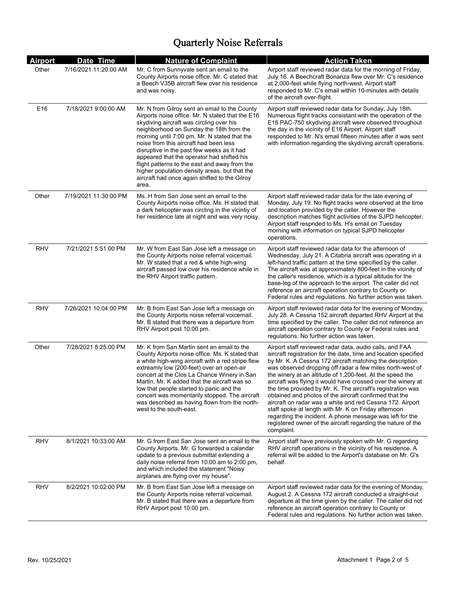| <u>Airport</u>  | Date Time             | <b>Nature of Complaint</b>                                                                                                                                                                                                                                                                                                                                                                                                                                                                                                                  | <b>Action Taken</b>                                                                                                                                                                                                                                                                                                                                                                                                                                                                                                                                                                                                                                                                                                                                                      |
|-----------------|-----------------------|---------------------------------------------------------------------------------------------------------------------------------------------------------------------------------------------------------------------------------------------------------------------------------------------------------------------------------------------------------------------------------------------------------------------------------------------------------------------------------------------------------------------------------------------|--------------------------------------------------------------------------------------------------------------------------------------------------------------------------------------------------------------------------------------------------------------------------------------------------------------------------------------------------------------------------------------------------------------------------------------------------------------------------------------------------------------------------------------------------------------------------------------------------------------------------------------------------------------------------------------------------------------------------------------------------------------------------|
| Other           | 7/16/2021 11:20:00 AM | Mr. C from Sunnyvale sent an email to the<br>County Airports noise office. Mr. C stated that<br>a Beech V35B aircraft flew over his residence<br>and was noisy.                                                                                                                                                                                                                                                                                                                                                                             | Airport staff reviewed radar data for the morning of Friday,<br>July 16. A Beechcraft Bonanza flew over Mr. C's residence<br>at 2,000-feet while flying north-west. Airport staff<br>responded to Mr. C's email within 10-minutes with details<br>of the aircraft over-flight.                                                                                                                                                                                                                                                                                                                                                                                                                                                                                           |
| E <sub>16</sub> | 7/18/2021 9:00:00 AM  | Mr. N from Gilroy sent an email to the County<br>Airports noise office. Mr. N stated that the E16<br>skydiving aircraft was circling over his<br>neighborhood on Sunday the 18th from the<br>morning until 7:00 pm. Mr. N stated that the<br>noise from this aircraft had been less<br>disruptive in the past few weeks as it had<br>appeared that the operator had shifted his<br>flight patterns to the east and away from the<br>higher population density areas, but that the<br>aircraft had once again shifted to the Gilroy<br>area. | Airport staff reviewed radar data for Sunday, July 18th.<br>Numerous flight tracks consistant with the operation of the<br>E16 PAC-750 skydiving aircraft were observed throughout<br>the day in the vicinity of E16 Airport. Airport staff<br>responded to Mr. N's email fifteen minutes after it was sent<br>with information regarding the skydiving aircraft operations.                                                                                                                                                                                                                                                                                                                                                                                             |
| Other           | 7/19/2021 11:30:00 PM | Ms. H from San Jose sent an email to the<br>County Airports noise office. Ms. H stated that<br>a dark helicopter was circling in the vicintiy of<br>her residence late at night and was very noisy.                                                                                                                                                                                                                                                                                                                                         | Airport staff reviewed radar data for the late evening of<br>Monday, July 19. No flight tracks were observed at the time<br>and location provided by the caller. However the<br>description matches flight activities of the SJPD helicopter.<br>Airport staff respnded to Ms. H's email on Tuesday<br>morning with information on typical SJPD helicopter<br>operations.                                                                                                                                                                                                                                                                                                                                                                                                |
| <b>RHV</b>      | 7/21/2021 5:51:00 PM  | Mr. W from East San Jose left a message on<br>the County Airports noise referral voicemail.<br>Mr. W stated that a red & white high-wing<br>aircraft passed low over his residence while in<br>the RHV Airport traffic pattern.                                                                                                                                                                                                                                                                                                             | Airport staff reviewed radar data for the afternoon of<br>Wednesday, July 21. A Citabria aircraft was operating in a<br>left-hand traffic pattern at the time specified by the caller.<br>The aircraft was at approximately 800-feet in the vicinity of<br>the caller's residence, which is a typical altitude for the<br>base-leg of the approach to the airport. The caller did not<br>reference an aircraft operation contrary to County or<br>Federal rules and regulations. No further action was taken.                                                                                                                                                                                                                                                            |
| <b>RHV</b>      | 7/26/2021 10:04:00 PM | Mr. B from East San Jose left a message on<br>the County Airports noise referral voicemail.<br>Mr. B stated that there was a departure from<br>RHV Airport post 10:00 pm.                                                                                                                                                                                                                                                                                                                                                                   | Airport staff reviewed radar data for the evening of Monday,<br>July 28. A Cessna 152 aircraft departed RHV Airport at the<br>time specified by the caller. The caller did not reference an<br>aircraft operation contrary to County or Federal rules and<br>regulations. No further action was taken.                                                                                                                                                                                                                                                                                                                                                                                                                                                                   |
| Other           | 7/28/2021 8:25:00 PM  | Mr. K from San Martin sent an email to the<br>County Airports noise office. Ms. K stated that<br>a white high-wing aircraft with a red stripe flew<br>extreamly low (200-feet) over an open-air<br>concert at the Clos La Chance Winery in San<br>Martin. Mr. K added that the aircraft was so<br>low that people started to panic and the<br>concert was momentarily stopped. The aircraft<br>was described as having flown from the north-<br>west to the south-east.                                                                     | Airport staff reviewed radar data, audio calls, and FAA<br>aircraft registration for the date, time and location specified<br>by Mr. K. A Cessna 172 aircraft matching the description<br>was observed dropping off radar a few miles north-west of<br>the winery at an altitude of 1,200-feet. At the speed the<br>aircraft was flying it would have crossed over the winery at<br>the time provided by Mr. K. The aircraft's registration was<br>obtained and photos of the aircraft confirmed that the<br>aircraft on radar was a white and red Cessna 172. Airport<br>staff spoke at length with Mr. K on Friday afternoon<br>regarding the incident. A phone message was left for the<br>registered owner of the aircraft regarding the nature of the<br>complaint. |
| RHV             | 8/1/2021 10:33:00 AM  | Mr. G from East San Jose sent an email to the<br>County Airports. Mr. G forwarded a calandar<br>update to a previous submittal extending a<br>daily noise referral from 10:00 am to 2:00 pm,<br>and which included the statement "Noisy<br>airplanes are flying over my house".                                                                                                                                                                                                                                                             | Airport staff have previously spoken with Mr. G regarding<br>RHV aircraft operations in the vicinity of his residence. A<br>referral will be added to the Airport's database on Mr. G's<br>behalf.                                                                                                                                                                                                                                                                                                                                                                                                                                                                                                                                                                       |
| RHV             | 8/2/2021 10:02:00 PM  | Mr. B from East San Jose left a message on<br>the County Airports noise referral voicemail.<br>Mr. B stated that there was a departure from<br>RHV Airport post 10:00 pm.                                                                                                                                                                                                                                                                                                                                                                   | Airport staff reviewed radar data for the evening of Monday,<br>August 2. A Cessna 172 aircraft conducted a straight-out<br>departure at the time given by the caller. The caller did not<br>reference an aircraft operation contrary to County or<br>Federal rules and regulations. No further action was taken.                                                                                                                                                                                                                                                                                                                                                                                                                                                        |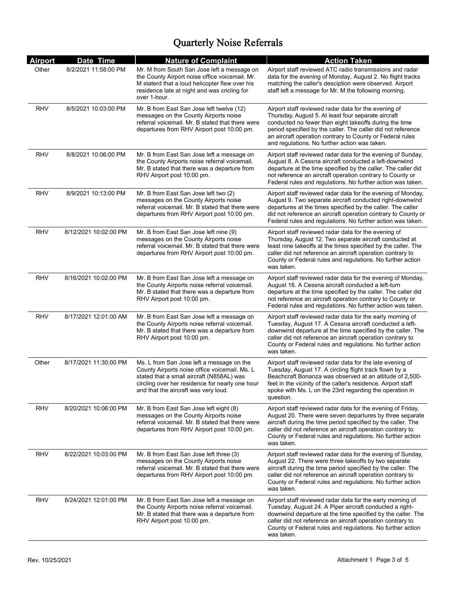| <b>Airport</b> | Date Time             | <b>Nature of Complaint</b>                                                                                                                                                                                                         | <b>Action Taken</b>                                                                                                                                                                                                                                                                                                                                 |
|----------------|-----------------------|------------------------------------------------------------------------------------------------------------------------------------------------------------------------------------------------------------------------------------|-----------------------------------------------------------------------------------------------------------------------------------------------------------------------------------------------------------------------------------------------------------------------------------------------------------------------------------------------------|
| Other          | 8/2/2021 11:58:00 PM  | Mr. M from South San Jose left a message on<br>the County Airport noise office voicemail. Mr.<br>M staterd that a loud helicopter flew over his<br>residence late at night and was cricling for<br>over 1-hour.                    | Airport staff reviewed ATC radio transmissions and radar<br>data for the evening of Monday, August 2. No flight tracks<br>matching the caller's desciption were observed. Airport<br>staff left a message for Mr. M the following morning.                                                                                                          |
| RHV            | 8/5/2021 10:03:00 PM  | Mr. B from East San Jose left twelve (12)<br>messages on the County Airports noise<br>referral voicemail. Mr. B stated that there were<br>departures from RHV Airport post 10:00 pm.                                               | Airport staff reviewed radar data for the evening of<br>Thursday, August 5. At least four separate aircraft<br>conducted no fewer than eight takeoffs during the time<br>period specified by the caller. The caller did not reference<br>an aircraft operation contrary to County or Federal rules<br>and regulations. No further action was taken. |
| RHV            | 8/8/2021 10:06:00 PM  | Mr. B from East San Jose left a message on<br>the County Airports noise referral voicemail.<br>Mr. B stated that there was a departure from<br>RHV Airport post 10:00 pm.                                                          | Airport staff reviewed radar data for the evening of Sunday,<br>August 8. A Cessna aircraft conducted a left-downwind<br>departure at the time specified by the caller. The caller did<br>not reference an aircraft operation contrary to County or<br>Federal rules and regulations. No further action was taken.                                  |
| RHV            | 8/9/2021 10:13:00 PM  | Mr. B from East San Jose left two (2)<br>messages on the County Airports noise<br>referral voicemail. Mr. B stated that there were<br>departures from RHV Airport post 10:00 pm.                                                   | Airport staff reviewed radar data for the evening of Monday,<br>August 9. Two separate aircraft conducted right-downwind<br>departures at the times specified by the caller. The caller<br>did not reference an aircraft operation contrary to County or<br>Federal rules and regulations. No further action was taken.                             |
| RHV            | 8/12/2021 10:02:00 PM | Mr. B from East San Jose left nine (9)<br>messages on the County Airports noise<br>referral voicemail. Mr. B stated that there were<br>departures from RHV Airport post 10:00 pm.                                                  | Airport staff reviewed radar data for the evening of<br>Thursday, August 12. Two separate aircraft conducted at<br>least nine takeoffs at the times specified by the caller. The<br>caller did not reference an aircraft operation contrary to<br>County or Federal rules and regulations. No further action<br>was taken.                          |
| RHV            | 8/16/2021 10:02:00 PM | Mr. B from East San Jose left a message on<br>the County Airports noise referral voicemail.<br>Mr. B stated that there was a departure from<br>RHV Airport post 10:00 pm.                                                          | Airport staff reviewed radar data for the evening of Monday,<br>August 16. A Cessna aircraft conducted a left-turn<br>departure at the time specified by the caller. The caller did<br>not reference an aircraft operation contrary to County or<br>Federal rules and regulations. No further action was taken.                                     |
| RHV            | 8/17/2021 12:01:00 AM | Mr. B from East San Jose left a message on<br>the County Airports noise referral voicemail.<br>Mr. B stated that there was a departure from<br>RHV Airport post 10:00 pm.                                                          | Airport staff reviewed radar data for the early morning of<br>Tuesday, August 17. A Cessna aircraft conducted a left-<br>downwind departure at the time specified by the caller. The<br>caller did not reference an aircraft operation contrary to<br>County or Federal rules and regulations. No further action<br>was taken.                      |
| Other          | 8/17/2021 11:30:00 PM | Ms. L from San Jose left a message on the<br>County Airports noise office voicemail. Ms. L<br>stated that a small aircraft (N858AL) was<br>circling over her residence for nearly one hour<br>and that the aircraft was very loud. | Airport staff reviewed radar data for the late evening of<br>Tuesday, August 17. A circling flight track flown by a<br>Beachcraft Bonanza was observed at an altitude of 2,500-<br>feet in the vicinity of the caller's residence. Airport staff<br>spoke with Ms. L on the 23rd regarding the operation in<br>question.                            |
| <b>RHV</b>     | 8/20/2021 10:06:00 PM | Mr. B from East San Jose left eight (8)<br>messages on the County Airports noise<br>referral voicemail. Mr. B stated that there were<br>departures from RHV Airport post 10:00 pm.                                                 | Airport staff reviewed radar data for the evening of Friday,<br>August 20. There were seven departures by three separate<br>aircraft during the time period specified by the caller. The<br>caller did not reference an aircraft operation contrary to<br>County or Federal rules and regulations. No further action<br>was taken.                  |
| RHV            | 8/22/2021 10:03:00 PM | Mr. B from East San Jose left three (3)<br>messages on the County Airports noise<br>referral voicemail. Mr. B stated that there were<br>departures from RHV Airport post 10:00 pm.                                                 | Airport staff reviewed radar data for the evening of Sunday,<br>August 22. There were three takeoffs by two separate<br>aircraft during the time period specified by the caller. The<br>caller did not reference an aircraft operation contrary to<br>County or Federal rules and regulations. No further action<br>was taken.                      |
| RHV            | 8/24/2021 12:01:00 PM | Mr. B from East San Jose left a message on<br>the County Airports noise referral voicemail.<br>Mr. B stated that there was a departure from<br>RHV Airport post 10:00 pm.                                                          | Airport staff reviewed radar data for the early morning of<br>Tuesday, August 24. A Piper aircraft conducted a right-<br>downwind departure at the time specified by the caller. The<br>caller did not reference an aircraft operation contrary to<br>County or Federal rules and regulations. No further action<br>was taken.                      |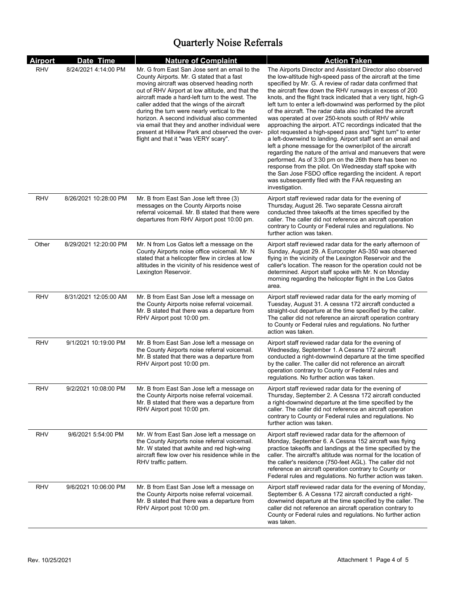| <b>Airport</b> | Date Time             | <b>Nature of Complaint</b>                                                                                                                                                                                                                                                                                                                                                                                                                                                                                                                 | <b>Action Taken</b>                                                                                                                                                                                                                                                                                                                                                                                                                                                                                                                                                                                                                                                                                                                                                                                                                                                                                                                                                                                                                                                                       |
|----------------|-----------------------|--------------------------------------------------------------------------------------------------------------------------------------------------------------------------------------------------------------------------------------------------------------------------------------------------------------------------------------------------------------------------------------------------------------------------------------------------------------------------------------------------------------------------------------------|-------------------------------------------------------------------------------------------------------------------------------------------------------------------------------------------------------------------------------------------------------------------------------------------------------------------------------------------------------------------------------------------------------------------------------------------------------------------------------------------------------------------------------------------------------------------------------------------------------------------------------------------------------------------------------------------------------------------------------------------------------------------------------------------------------------------------------------------------------------------------------------------------------------------------------------------------------------------------------------------------------------------------------------------------------------------------------------------|
| <b>RHV</b>     | 8/24/2021 4:14:00 PM  | Mr. G from East San Jose sent an email to the<br>County Airports. Mr. G stated that a fast<br>moving aircraft was observed heading north<br>out of RHV Airport at low altitude, and that the<br>aircraft made a hard-left turn to the west. The<br>caller added that the wings of the aircraft<br>during the turn were nearly vertical to the<br>horizon. A second individual also commented<br>via email that they and another individual were<br>present at Hillview Park and observed the over-<br>flight and that it "was VERY scary". | The Airports Director and Assistant Director also observed<br>the low-altitude high-speed pass of the aircraft at the time<br>specified by Mr. G. A review of radar data confirmed that<br>the aircraft flew down the RHV runways in excess of 200<br>knots, and the flight track indicated that a very tight, high-G<br>left turn to enter a left-downwind was performed by the pilot<br>of the aircraft. The radar data also indicated the aircraft<br>was operated at over 250-knots south of RHV while<br>approaching the airport. ATC recordings indicated that the<br>pilot requested a high-speed pass and "tight turn" to enter<br>a left-downwind to landing. Airport staff sent an email and<br>left a phone message for the owner/pilot of the aircraft<br>regarding the nature of the arrival and manuevers that were<br>performed. As of 3:30 pm on the 26th there has been no<br>response from the pilot. On Wednesday staff spoke with<br>the San Jose FSDO office regarding the incident. A report<br>was subsequently filed with the FAA requesting an<br>investigation. |
| <b>RHV</b>     | 8/26/2021 10:28:00 PM | Mr. B from East San Jose left three (3)<br>messages on the County Airports noise<br>referral voicemail. Mr. B stated that there were<br>departures from RHV Airport post 10:00 pm.                                                                                                                                                                                                                                                                                                                                                         | Airport staff reviewed radar data for the evening of<br>Thursday, August 26. Two separate Cessna aircraft<br>conducted three takeoffs at the times specified by the<br>caller. The caller did not reference an aircraft operation<br>contrary to County or Federal rules and regulations. No<br>further action was taken.                                                                                                                                                                                                                                                                                                                                                                                                                                                                                                                                                                                                                                                                                                                                                                 |
| Other          | 8/29/2021 12:20:00 PM | Mr. N from Los Gatos left a message on the<br>County Airports noise office voicemail. Mr. N.<br>stated that a helicopter flew in circles at low<br>altitudes in the vicinity of his residence west of<br>Lexington Reservoir.                                                                                                                                                                                                                                                                                                              | Airport staff reviewed radar data for the early afternoon of<br>Sunday, August 29. A Eurocopter AS-350 was observed<br>flying in the vicinity of the Lexington Reservoir and the<br>caller's location. The reason for the operation could not be<br>determined. Airport staff spoke with Mr. N on Monday<br>morning regarding the helicopter flight in the Los Gatos<br>area.                                                                                                                                                                                                                                                                                                                                                                                                                                                                                                                                                                                                                                                                                                             |
| <b>RHV</b>     | 8/31/2021 12:05:00 AM | Mr. B from East San Jose left a message on<br>the County Airports noise referral voicemail.<br>Mr. B stated that there was a departure from<br>RHV Airport post 10:00 pm.                                                                                                                                                                                                                                                                                                                                                                  | Airport staff reviewed radar data for the early morning of<br>Tuesday, August 31. A cessna 172 aircraft conducted a<br>straight-out departure at the time specified by the caller.<br>The caller did not reference an aircraft operation contrary<br>to County or Federal rules and regulations. No further<br>action was taken.                                                                                                                                                                                                                                                                                                                                                                                                                                                                                                                                                                                                                                                                                                                                                          |
| <b>RHV</b>     | 9/1/2021 10:19:00 PM  | Mr. B from East San Jose left a message on<br>the County Airports noise referral voicemail.<br>Mr. B stated that there was a departure from<br>RHV Airport post 10:00 pm.                                                                                                                                                                                                                                                                                                                                                                  | Airport staff reviewed radar data for the evening of<br>Wednesday, September 1. A Cessna 172 aircraft<br>conducted a right-downwind departure at the time specified<br>by the caller. The caller did not reference an aircraft<br>operation contrary to County or Federal rules and<br>requlations. No further action was taken.                                                                                                                                                                                                                                                                                                                                                                                                                                                                                                                                                                                                                                                                                                                                                          |
| RHV            | 9/2/2021 10:08:00 PM  | Mr. B from East San Jose left a message on<br>the County Airports noise referral voicemail.<br>Mr. B stated that there was a departure from<br>RHV Airport post 10:00 pm.                                                                                                                                                                                                                                                                                                                                                                  | Airport staff reviewed radar data for the evening of<br>Thursday, September 2. A Cessna 172 aircraft conducted<br>a right-downwind departure at the time specified by the<br>caller. The caller did not reference an aircraft operation<br>contrary to County or Federal rules and regulations. No<br>further action was taken.                                                                                                                                                                                                                                                                                                                                                                                                                                                                                                                                                                                                                                                                                                                                                           |
| <b>RHV</b>     | 9/6/2021 5:54:00 PM   | Mr. W from East San Jose left a message on<br>the County Airports noise referral voicemail.<br>Mr. W stated that awhite and red high-wing<br>aircraft flew low over his residence while in the<br>RHV traffic pattern.                                                                                                                                                                                                                                                                                                                     | Airport staff reviewed radar data for the afternoon of<br>Monday, September 6. A Cessna 152 aircraft was flying<br>practice takeoffs and landings at the time specified by the<br>caller. The aircraft's altitude was normal for the location of<br>the caller's residence (750-feet AGL). The caller did not<br>reference an aircraft operation contrary to County or<br>Federal rules and regulations. No further action was taken.                                                                                                                                                                                                                                                                                                                                                                                                                                                                                                                                                                                                                                                     |
| RHV            | 9/6/2021 10:06:00 PM  | Mr. B from East San Jose left a message on<br>the County Airports noise referral voicemail.<br>Mr. B stated that there was a departure from<br>RHV Airport post 10:00 pm.                                                                                                                                                                                                                                                                                                                                                                  | Airport staff reviewed radar data for the evening of Monday,<br>September 6. A Cessna 172 aircraft conducted a right-<br>downwind departure at the time specified by the caller. The<br>caller did not reference an aircraft operation contrary to<br>County or Federal rules and regulations. No further action<br>was taken.                                                                                                                                                                                                                                                                                                                                                                                                                                                                                                                                                                                                                                                                                                                                                            |